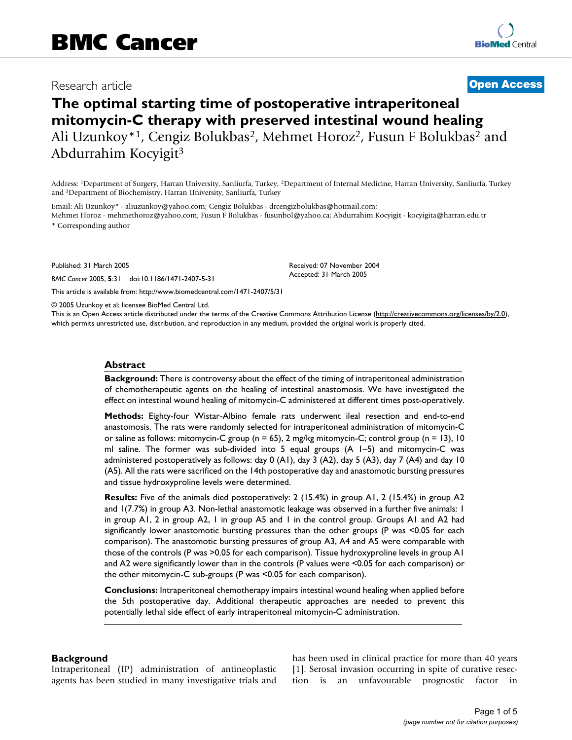# Research article **[Open Access](http://www.biomedcentral.com/info/about/charter/)**

# **The optimal starting time of postoperative intraperitoneal mitomycin-C therapy with preserved intestinal wound healing** Ali Uzunkoy\*1, Cengiz Bolukbas2, Mehmet Horoz2, Fusun F Bolukbas2 and Abdurrahim Kocyigit3

Address: 1Department of Surgery, Harran University, Sanliurfa, Turkey, 2Department of Internal Medicine, Harran University, Sanliurfa, Turkey and 3Department of Biochemistry, Harran University, Sanliurfa, Turkey

Email: Ali Uzunkoy\* - aliuzunkoy@yahoo.com; Cengiz Bolukbas - drcengizbolukbas@hotmail.com; Mehmet Horoz - mehmethoroz@yahoo.com; Fusun F Bolukbas - fusunbol@yahoo.ca; Abdurrahim Kocyigit - kocyigita@harran.edu.tr

\* Corresponding author

Published: 31 March 2005

*BMC Cancer* 2005, **5**:31 doi:10.1186/1471-2407-5-31

[This article is available from: http://www.biomedcentral.com/1471-2407/5/31](http://www.biomedcentral.com/1471-2407/5/31)

© 2005 Uzunkoy et al; licensee BioMed Central Ltd.

This is an Open Access article distributed under the terms of the Creative Commons Attribution License [\(http://creativecommons.org/licenses/by/2.0\)](http://creativecommons.org/licenses/by/2.0), which permits unrestricted use, distribution, and reproduction in any medium, provided the original work is properly cited.

Received: 07 November 2004 Accepted: 31 March 2005

#### **Abstract**

**Background:** There is controversy about the effect of the timing of intraperitoneal administration of chemotherapeutic agents on the healing of intestinal anastomosis. We have investigated the effect on intestinal wound healing of mitomycin-C administered at different times post-operatively.

**Methods:** Eighty-four Wistar-Albino female rats underwent ileal resection and end-to-end anastomosis. The rats were randomly selected for intraperitoneal administration of mitomycin-C or saline as follows: mitomycin-C group (n = 65), 2 mg/kg mitomycin-C; control group (n = 13), 10 ml saline. The former was sub-divided into 5 equal groups (A 1–5) and mitomycin-C was administered postoperatively as follows: day 0 (A1), day 3 (A2), day 5 (A3), day 7 (A4) and day 10 (A5). All the rats were sacrificed on the 14th postoperative day and anastomotic bursting pressures and tissue hydroxyproline levels were determined.

**Results:** Five of the animals died postoperatively: 2 (15.4%) in group A1, 2 (15.4%) in group A2 and 1(7.7%) in group A3. Non-lethal anastomotic leakage was observed in a further five animals: 1 in group A1, 2 in group A2, 1 in group A5 and 1 in the control group. Groups A1 and A2 had significantly lower anastomotic bursting pressures than the other groups (P was <0.05 for each comparison). The anastomotic bursting pressures of group A3, A4 and A5 were comparable with those of the controls (P was >0.05 for each comparison). Tissue hydroxyproline levels in group A1 and A2 were significantly lower than in the controls (P values were <0.05 for each comparison) or the other mitomycin-C sub-groups (P was <0.05 for each comparison).

**Conclusions:** Intraperitoneal chemotherapy impairs intestinal wound healing when applied before the 5th postoperative day. Additional therapeutic approaches are needed to prevent this potentially lethal side effect of early intraperitoneal mitomycin-C administration.

#### **Background**

Intraperitoneal (IP) administration of antineoplastic agents has been studied in many investigative trials and has been used in clinical practice for more than 40 years [1]. Serosal invasion occurring in spite of curative resection is an unfavourable prognostic factor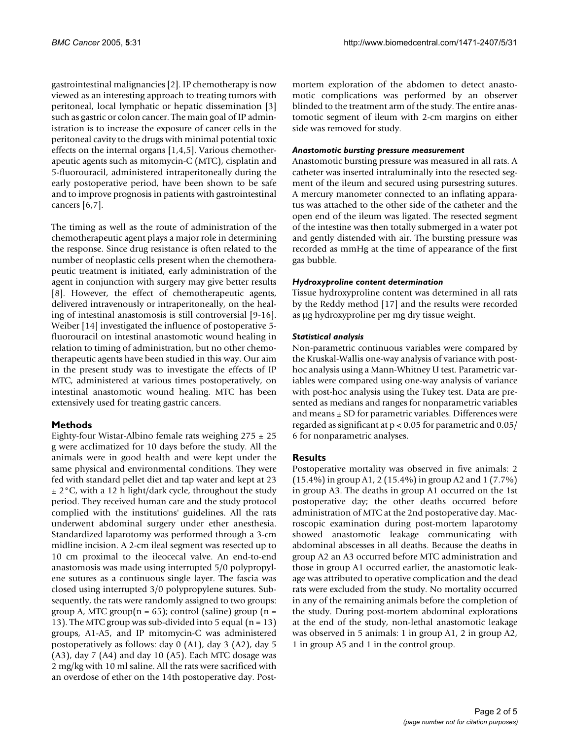gastrointestinal malignancies [2]. IP chemotherapy is now viewed as an interesting approach to treating tumors with peritoneal, local lymphatic or hepatic dissemination [3] such as gastric or colon cancer. The main goal of IP administration is to increase the exposure of cancer cells in the peritoneal cavity to the drugs with minimal potential toxic effects on the internal organs [1,4,5]. Various chemotherapeutic agents such as mitomycin-C (MTC), cisplatin and 5-fluorouracil, administered intraperitoneally during the early postoperative period, have been shown to be safe and to improve prognosis in patients with gastrointestinal cancers [6,7].

The timing as well as the route of administration of the chemotherapeutic agent plays a major role in determining the response. Since drug resistance is often related to the number of neoplastic cells present when the chemotherapeutic treatment is initiated, early administration of the agent in conjunction with surgery may give better results [8]. However, the effect of chemotherapeutic agents, delivered intravenously or intraperitoneally, on the healing of intestinal anastomosis is still controversial [9-16]. Weiber [14] investigated the influence of postoperative 5 fluorouracil on intestinal anastomotic wound healing in relation to timing of administration, but no other chemotherapeutic agents have been studied in this way. Our aim in the present study was to investigate the effects of IP MTC, administered at various times postoperatively, on intestinal anastomotic wound healing. MTC has been extensively used for treating gastric cancers.

# **Methods**

Eighty-four Wistar-Albino female rats weighing  $275 \pm 25$ g were acclimatized for 10 days before the study. All the animals were in good health and were kept under the same physical and environmental conditions. They were fed with standard pellet diet and tap water and kept at 23  $\pm$  2°C, with a 12 h light/dark cycle, throughout the study period. They received human care and the study protocol complied with the institutions' guidelines. All the rats underwent abdominal surgery under ether anesthesia. Standardized laparotomy was performed through a 3-cm midline incision. A 2-cm ileal segment was resected up to 10 cm proximal to the ileocecal valve. An end-to-end anastomosis was made using interrupted 5/0 polypropylene sutures as a continuous single layer. The fascia was closed using interrupted 3/0 polypropylene sutures. Subsequently, the rats were randomly assigned to two groups: group A, MTC group( $n = 65$ ); control (saline) group ( $n =$ 13). The MTC group was sub-divided into 5 equal  $(n = 13)$ groups, A1-A5, and IP mitomycin-C was administered postoperatively as follows: day 0 (A1), day 3 (A2), day 5 (A3), day 7 (A4) and day 10 (A5). Each MTC dosage was 2 mg/kg with 10 ml saline. All the rats were sacrificed with an overdose of ether on the 14th postoperative day. Postmortem exploration of the abdomen to detect anastomotic complications was performed by an observer blinded to the treatment arm of the study. The entire anastomotic segment of ileum with 2-cm margins on either side was removed for study.

# *Anastomotic bursting pressure measurement*

Anastomotic bursting pressure was measured in all rats. A catheter was inserted intraluminally into the resected segment of the ileum and secured using pursestring sutures. A mercury manometer connected to an inflating apparatus was attached to the other side of the catheter and the open end of the ileum was ligated. The resected segment of the intestine was then totally submerged in a water pot and gently distended with air. The bursting pressure was recorded as mmHg at the time of appearance of the first gas bubble.

#### *Hydroxyproline content determination*

Tissue hydroxyproline content was determined in all rats by the Reddy method [17] and the results were recorded as µg hydroxyproline per mg dry tissue weight.

# *Statistical analysis*

Non-parametric continuous variables were compared by the Kruskal-Wallis one-way analysis of variance with posthoc analysis using a Mann-Whitney U test. Parametric variables were compared using one-way analysis of variance with post-hoc analysis using the Tukey test. Data are presented as medians and ranges for nonparametric variables and means  $\pm$  SD for parametric variables. Differences were regarded as significant at p < 0.05 for parametric and 0.05/ 6 for nonparametric analyses.

# **Results**

Postoperative mortality was observed in five animals: 2 (15.4%) in group A1, 2 (15.4%) in group A2 and 1 (7.7%) in group A3. The deaths in group A1 occurred on the 1st postoperative day; the other deaths occurred before administration of MTC at the 2nd postoperative day. Macroscopic examination during post-mortem laparotomy showed anastomotic leakage communicating with abdominal abscesses in all deaths. Because the deaths in group A2 an A3 occurred before MTC administration and those in group A1 occurred earlier, the anastomotic leakage was attributed to operative complication and the dead rats were excluded from the study. No mortality occurred in any of the remaining animals before the completion of the study. During post-mortem abdominal explorations at the end of the study, non-lethal anastomotic leakage was observed in 5 animals: 1 in group A1, 2 in group A2, 1 in group A5 and 1 in the control group.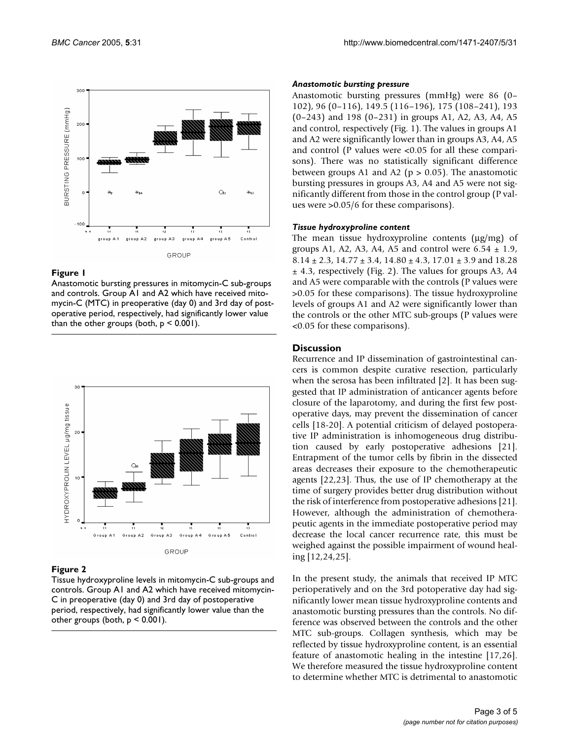

#### Figure 1

Anastomotic bursting pressures in mitomycin-C sub-groups and controls. Group A1 and A2 which have received mitomycin-C (MTC) in preoperative (day 0) and 3rd day of postoperative period, respectively, had significantly lower value than the other groups (both,  $p < 0.001$ ).



#### Figure 2

Tissue hydroxyproline levels in mitomycin-C sub-groups and controls. Group A1 and A2 which have received mitomycin-C in preoperative (day 0) and 3rd day of postoperative period, respectively, had significantly lower value than the other groups (both, p < 0.001).

#### *Anastomotic bursting pressure*

Anastomotic bursting pressures (mmHg) were 86 (0– 102), 96 (0–116), 149.5 (116–196), 175 (108–241), 193 (0–243) and 198 (0–231) in groups A1, A2, A3, A4, A5 and control, respectively (Fig. 1). The values in groups A1 and A2 were significantly lower than in groups A3, A4, A5 and control (P values were <0.05 for all these comparisons). There was no statistically significant difference between groups A1 and A2 ( $p > 0.05$ ). The anastomotic bursting pressures in groups A3, A4 and A5 were not significantly different from those in the control group (P values were >0.05/6 for these comparisons).

#### *Tissue hydroxyproline content*

The mean tissue hydroxyproline contents  $(\mu g/mg)$  of groups A1, A2, A3, A4, A5 and control were  $6.54 \pm 1.9$ ,  $8.14 \pm 2.3$ ,  $14.77 \pm 3.4$ ,  $14.80 \pm 4.3$ ,  $17.01 \pm 3.9$  and  $18.28$  $±$  4.3, respectively (Fig. 2). The values for groups A3, A4 and A5 were comparable with the controls (P values were >0.05 for these comparisons). The tissue hydroxyproline levels of groups A1 and A2 were significantly lower than the controls or the other MTC sub-groups (P values were <0.05 for these comparisons).

#### **Discussion**

Recurrence and IP dissemination of gastrointestinal cancers is common despite curative resection, particularly when the serosa has been infiltrated [2]. It has been suggested that IP administration of anticancer agents before closure of the laparotomy, and during the first few postoperative days, may prevent the dissemination of cancer cells [18-20]. A potential criticism of delayed postoperative IP administration is inhomogeneous drug distribution caused by early postoperative adhesions [21]. Entrapment of the tumor cells by fibrin in the dissected areas decreases their exposure to the chemotherapeutic agents [22,23]. Thus, the use of IP chemotherapy at the time of surgery provides better drug distribution without the risk of interference from postoperative adhesions [21]. However, although the administration of chemotherapeutic agents in the immediate postoperative period may decrease the local cancer recurrence rate, this must be weighed against the possible impairment of wound healing [12,24,25].

In the present study, the animals that received IP MTC perioperatively and on the 3rd potoperative day had significantly lower mean tissue hydroxyproline contents and anastomotic bursting pressures than the controls. No difference was observed between the controls and the other MTC sub-groups. Collagen synthesis, which may be reflected by tissue hydroxyproline content, is an essential feature of anastomotic healing in the intestine [17,26]. We therefore measured the tissue hydroxyproline content to determine whether MTC is detrimental to anastomotic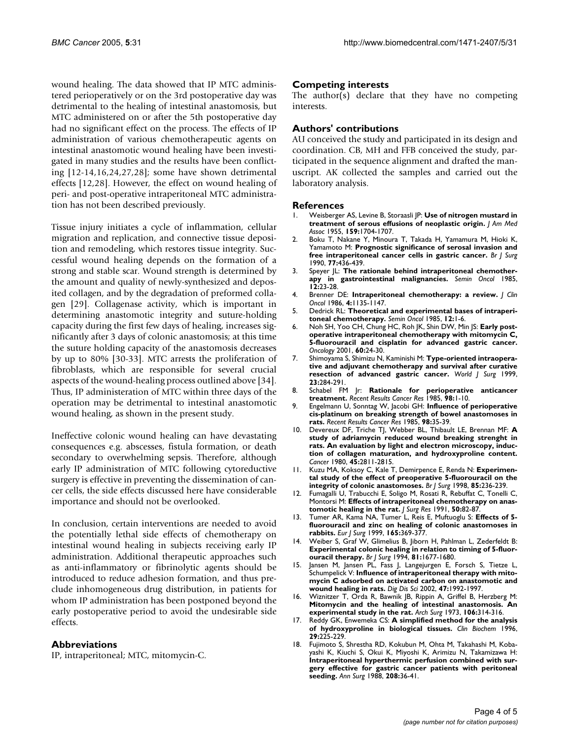wound healing. The data showed that IP MTC administered perioperatively or on the 3rd postoperative day was detrimental to the healing of intestinal anastomosis, but MTC administered on or after the 5th postoperative day had no significant effect on the process. The effects of IP administration of various chemotherapeutic agents on intestinal anastomotic wound healing have been investigated in many studies and the results have been conflicting [12-14,16,24,27,28]; some have shown detrimental effects [12,28]. However, the effect on wound healing of peri- and post-operative intraperitoneal MTC administration has not been described previously.

Tissue injury initiates a cycle of inflammation, cellular migration and replication, and connective tissue deposition and remodeling, which restores tissue integrity. Successful wound healing depends on the formation of a strong and stable scar. Wound strength is determined by the amount and quality of newly-synthesized and deposited collagen, and by the degradation of preformed collagen [29]. Collagenase activity, which is important in determining anastomotic integrity and suture-holding capacity during the first few days of healing, increases significantly after 3 days of colonic anastomosis; at this time the suture holding capacity of the anastomosis decreases by up to 80% [30-33]. MTC arrests the proliferation of fibroblasts, which are responsible for several crucial aspects of the wound-healing process outlined above [34]. Thus, IP administeration of MTC within three days of the operation may be detrimental to intestinal anastomotic wound healing, as shown in the present study.

Ineffective colonic wound healing can have devastating consequences e.g. abscesses, fistula formation, or death secondary to overwhelming sepsis. Therefore, although early IP administration of MTC following cytoreductive surgery is effective in preventing the dissemination of cancer cells, the side effects discussed here have considerable importance and should not be overlooked.

In conclusion, certain interventions are needed to avoid the potentially lethal side effects of chemotherapy on intestinal wound healing in subjects receiving early IP administration. Additional therapeutic approaches such as anti-inflammatory or fibrinolytic agents should be introduced to reduce adhesion formation, and thus preclude inhomogeneous drug distribution, in patients for whom IP administration has been postponed beyond the early postoperative period to avoid the undesirable side effects.

# **Abbreviations**

IP, intraperitoneal; MTC, mitomycin-C.

# **Competing interests**

The author(s) declare that they have no competing interests.

# **Authors' contributions**

AU conceived the study and participated in its design and coordination. CB, MH and FFB conceived the study, participated in the sequence alignment and drafted the manuscript. AK collected the samples and carried out the laboratory analysis.

#### **References**

- 1. Weisberger AS, Levine B, Storaasli JP: **[Use of nitrogen mustard in](http://www.ncbi.nlm.nih.gov/entrez/query.fcgi?cmd=Retrieve&db=PubMed&dopt=Abstract&list_uids=13271133) [treatment of serous effusions of neoplastic origin.](http://www.ncbi.nlm.nih.gov/entrez/query.fcgi?cmd=Retrieve&db=PubMed&dopt=Abstract&list_uids=13271133)** *J Am Med Assoc* 1955, **159:**1704-1707.
- 2. Boku T, Nakane Y, Minoura T, Takada H, Yamamura M, Hioki K, Yamamoto M: **[Prognostic significance of serosal invasion and](http://www.ncbi.nlm.nih.gov/entrez/query.fcgi?cmd=Retrieve&db=PubMed&dopt=Abstract&list_uids=2340396) [free intraperitoneal cancer cells in gastric cancer.](http://www.ncbi.nlm.nih.gov/entrez/query.fcgi?cmd=Retrieve&db=PubMed&dopt=Abstract&list_uids=2340396)** *Br J Surg* 1990, **77:**436-439.
- 3. Speyer JL: **[The rationale behind intraperitoneal chemother](http://www.ncbi.nlm.nih.gov/entrez/query.fcgi?cmd=Retrieve&db=PubMed&dopt=Abstract&list_uids=4048973)[apy in gastrointestinal malignancies.](http://www.ncbi.nlm.nih.gov/entrez/query.fcgi?cmd=Retrieve&db=PubMed&dopt=Abstract&list_uids=4048973)** *Semin Oncol* 1985, **12:**23-28.
- 4. Brenner DE: **[Intraperitoneal chemotherapy: a review.](http://www.ncbi.nlm.nih.gov/entrez/query.fcgi?cmd=Retrieve&db=PubMed&dopt=Abstract&list_uids=3522820)** *J Clin Oncol* 1986, **4:**1135-1147.
- 5. Dedrick RL: **[Theoretical and experimental bases of intraperi](http://www.ncbi.nlm.nih.gov/entrez/query.fcgi?cmd=Retrieve&db=PubMed&dopt=Abstract&list_uids=4048968)[toneal chemotherapy.](http://www.ncbi.nlm.nih.gov/entrez/query.fcgi?cmd=Retrieve&db=PubMed&dopt=Abstract&list_uids=4048968)** *Semin Oncol* 1985, **12:**1-6.
- 6. Noh SH, Yoo CH, Chung HC, Roh JK, Shin DW, Min JS: **[Early post](http://www.ncbi.nlm.nih.gov/entrez/query.fcgi?cmd=Retrieve&db=PubMed&dopt=Abstract&list_uids=11150904)operative intraperitoneal chemotherapy with mitomycin C, [5-fluorouracil and cisplatin for advanced gastric cancer.](http://www.ncbi.nlm.nih.gov/entrez/query.fcgi?cmd=Retrieve&db=PubMed&dopt=Abstract&list_uids=11150904)** *Oncology* 2001, **60:**24-30.
- 7. Shimoyama S, Shimizu N, Kaminishi M: **[Type-oriented intraopera](http://www.ncbi.nlm.nih.gov/entrez/query.fcgi?cmd=Retrieve&db=PubMed&dopt=Abstract&list_uids=9933701)[tive and adjuvant chemotherapy and survival after curative](http://www.ncbi.nlm.nih.gov/entrez/query.fcgi?cmd=Retrieve&db=PubMed&dopt=Abstract&list_uids=9933701) [resection of advanced gastric cancer.](http://www.ncbi.nlm.nih.gov/entrez/query.fcgi?cmd=Retrieve&db=PubMed&dopt=Abstract&list_uids=9933701)** *World J Surg* 1999, **23:**284-291.
- 8. Schabel FM Jr: **[Rationale for perioperative anticancer](http://www.ncbi.nlm.nih.gov/entrez/query.fcgi?cmd=Retrieve&db=PubMed&dopt=Abstract&list_uids=4035066) [treatment.](http://www.ncbi.nlm.nih.gov/entrez/query.fcgi?cmd=Retrieve&db=PubMed&dopt=Abstract&list_uids=4035066)** *Recent Results Cancer Res* 1985, **98:**1-10.
- 9. Engelmann U, Sonntag W, Jacobi GH: **[Influence of perioperative](http://www.ncbi.nlm.nih.gov/entrez/query.fcgi?cmd=Retrieve&db=PubMed&dopt=Abstract&list_uids=4041068) [cis-platinum on breaking strength of bowel anastomoses in](http://www.ncbi.nlm.nih.gov/entrez/query.fcgi?cmd=Retrieve&db=PubMed&dopt=Abstract&list_uids=4041068) [rats.](http://www.ncbi.nlm.nih.gov/entrez/query.fcgi?cmd=Retrieve&db=PubMed&dopt=Abstract&list_uids=4041068)** *Recent Results Cancer Res* 1985, **98:**35-39.
- 10. Devereux DF, Triche TJ, Webber BL, Thibault LE, Brennan MF: **[A](http://www.ncbi.nlm.nih.gov/entrez/query.fcgi?cmd=Retrieve&db=PubMed&dopt=Abstract&list_uids=7379012) [study of adriamycin reduced wound breaking strenght in](http://www.ncbi.nlm.nih.gov/entrez/query.fcgi?cmd=Retrieve&db=PubMed&dopt=Abstract&list_uids=7379012) rats. An evaluation by light and electron microscopy, induction of collagen maturation, and hydroxyproline content.** *Cancer* 1980, **45:**2811-2815.
- 11. Kuzu MA, Koksoy C, Kale T, Demirpence E, Renda N: **[Experimen](http://www.ncbi.nlm.nih.gov/entrez/query.fcgi?cmd=Retrieve&db=PubMed&dopt=Abstract&list_uids=9501824)[tal study of the effect of preoperative 5-fluorouracil on the](http://www.ncbi.nlm.nih.gov/entrez/query.fcgi?cmd=Retrieve&db=PubMed&dopt=Abstract&list_uids=9501824) [integrity of colonic anastomoses.](http://www.ncbi.nlm.nih.gov/entrez/query.fcgi?cmd=Retrieve&db=PubMed&dopt=Abstract&list_uids=9501824)** *Br J Surg* 1998, **85:**236-239.
- 12. Fumagalli U, Trabucchi E, Soligo M, Rosati R, Rebuffat C, Tonelli C, Montorsi M: **[Effects of intraperitoneal chemotherapy on anas](http://www.ncbi.nlm.nih.gov/entrez/query.fcgi?cmd=Retrieve&db=PubMed&dopt=Abstract&list_uids=1898977)[tomotic healing in the rat.](http://www.ncbi.nlm.nih.gov/entrez/query.fcgi?cmd=Retrieve&db=PubMed&dopt=Abstract&list_uids=1898977)** *J Surg Res* 1991, **50:**82-87.
- 13. Tumer AR, Kama NA, Tumer L, Reis E, Muftuoglu S: **[Effects of 5](http://www.ncbi.nlm.nih.gov/entrez/query.fcgi?cmd=Retrieve&db=PubMed&dopt=Abstract&list_uids=10365840) [fluorouracil and zinc on healing of colonic anastomoses in](http://www.ncbi.nlm.nih.gov/entrez/query.fcgi?cmd=Retrieve&db=PubMed&dopt=Abstract&list_uids=10365840) [rabbits.](http://www.ncbi.nlm.nih.gov/entrez/query.fcgi?cmd=Retrieve&db=PubMed&dopt=Abstract&list_uids=10365840)** *Eur J Surg* 1999, **165:**369-377.
- 14. Weiber S, Graf W, Glimelius B, Jiborn H, Pahlman L, Zederfeldt B: **[Experimental colonic healing in relation to timing of 5-fluor](http://www.ncbi.nlm.nih.gov/entrez/query.fcgi?cmd=Retrieve&db=PubMed&dopt=Abstract&list_uids=7827906)[ouracil therapy.](http://www.ncbi.nlm.nih.gov/entrez/query.fcgi?cmd=Retrieve&db=PubMed&dopt=Abstract&list_uids=7827906)** *Br J Surg* 1994, **81:**1677-1680.
- 15. Jansen M, Jansen PL, Fass J, Langejurgen E, Forsch S, Tietze L, Schumpelick V: **[Influence of intraperitoneal therapy with mito](http://www.ncbi.nlm.nih.gov/entrez/query.fcgi?cmd=Retrieve&db=PubMed&dopt=Abstract&list_uids=12353843)[mycin C adsorbed on activated carbon on anastomotic and](http://www.ncbi.nlm.nih.gov/entrez/query.fcgi?cmd=Retrieve&db=PubMed&dopt=Abstract&list_uids=12353843) [wound healing in rats.](http://www.ncbi.nlm.nih.gov/entrez/query.fcgi?cmd=Retrieve&db=PubMed&dopt=Abstract&list_uids=12353843)** *Dig Dis Sci* 2002, **47:**1992-1997.
- 16. Wiznitzer T, Orda R, Bawnik JB, Rippin A, Griffel B, Herzberg M: **[Mitomycin and the healing of intestinal anastomosis. An](http://www.ncbi.nlm.nih.gov/entrez/query.fcgi?cmd=Retrieve&db=PubMed&dopt=Abstract&list_uids=4689804) [experimental study in the rat.](http://www.ncbi.nlm.nih.gov/entrez/query.fcgi?cmd=Retrieve&db=PubMed&dopt=Abstract&list_uids=4689804)** *Arch Surg* 1973, **106:**314-316.
- 17. Reddy GK, Enwemeka CS: **[A simplified method for the analysis](http://www.ncbi.nlm.nih.gov/entrez/query.fcgi?cmd=Retrieve&db=PubMed&dopt=Abstract&list_uids=8740508) [of hydroxyproline in biological tissues.](http://www.ncbi.nlm.nih.gov/entrez/query.fcgi?cmd=Retrieve&db=PubMed&dopt=Abstract&list_uids=8740508)** *Clin Biochem* 1996, **29:**225-229.
- 18. Fujimoto S, Shrestha RD, Kokubun M, Ohta M, Takahashi M, Kobayashi K, Kiuchi S, Okui K, Miyoshi K, Arimizu N, Takamizawa H: **Intraperitoneal hyperthermic perfusion combined with sur[gery effective for gastric cancer patients with peritoneal](http://www.ncbi.nlm.nih.gov/entrez/query.fcgi?cmd=Retrieve&db=PubMed&dopt=Abstract&list_uids=3133994) [seeding.](http://www.ncbi.nlm.nih.gov/entrez/query.fcgi?cmd=Retrieve&db=PubMed&dopt=Abstract&list_uids=3133994)** *Ann Surg* 1988, **208:**36-41.